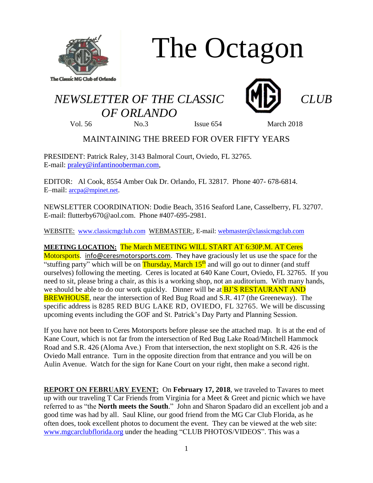

# The Octagon

## *NEWSLETTER OF THE CLASSIC CLUB OF ORLANDO*





Vol. 56 No.3 Issue 654 March 2018

### MAINTAINING THE BREED FOR OVER FIFTY YEARS

PRESIDENT: Patrick Raley, 3143 Balmoral Court, Oviedo, FL 32765. E-mail: [praley@infantinooberman.com,](mailto:praley@infantinooberman.com)

EDITOR: Al Cook, 8554 Amber Oak Dr. Orlando, FL 32817. Phone 407- 678-6814. E–mail: [arcpa@mpinet.net](mailto:arcpa@mpinet.net).

NEWSLETTER COORDINATION: Dodie Beach, 3516 Seaford Lane, Casselberry, FL 32707. E-mail: flutterby670@aol.com. Phone #407-695-2981.

WEBSITE: [www.classicmgclub.com](http://www.classicmgclub.com/) WEBMASTER:, E-mail[: webmaster@classicmgclub.com](mailto:webmaster@classicmgclub.com)

**MEETING LOCATION:** The March MEETING WILL START AT 6:30P.M. AT Ceres

Motorsports. [info@ceresmotorsports.com.](mailto:info@ceresmotorsports.com) They have graciously let us use the space for the "stuffing party" which will be on Thursday, March  $15<sup>th</sup>$  and will go out to dinner (and stuff ourselves) following the meeting. Ceres is located at 640 Kane Court, Oviedo, FL 32765. If you need to sit, please bring a chair, as this is a working shop, not an auditorium. With many hands, we should be able to do our work quickly. Dinner will be at **BJ'S RESTAURANT AND** BREWHOUSE, near the intersection of Red Bug Road and S.R. 417 (the Greeneway). The specific address is 8285 RED BUG LAKE RD, OVIEDO, FL 32765. We will be discussing upcoming events including the GOF and St. Patrick's Day Party and Planning Session.

If you have not been to Ceres Motorsports before please see the attached map. It is at the end of Kane Court, which is not far from the intersection of Red Bug Lake Road/Mitchell Hammock Road and S.R. 426 (Aloma Ave.) From that intersection, the next stoplight on S.R. 426 is the Oviedo Mall entrance. Turn in the opposite direction from that entrance and you will be on Aulin Avenue. Watch for the sign for Kane Court on your right, then make a second right.

**REPORT ON FEBRUARY EVENT:** On **February 17, 2018**, we traveled to Tavares to meet up with our traveling T Car Friends from Virginia for a Meet & Greet and picnic which we have referred to as "the **North meets the South**." John and Sharon Spadaro did an excellent job and a good time was had by all. Saul Kline, our good friend from the MG Car Club Florida, as he often does, took excellent photos to document the event. They can be viewed at the web site: [www.mgcarclubflorida.org](http://www.mgcarclubflorida.org/) under the heading "CLUB PHOTOS/VIDEOS". This was a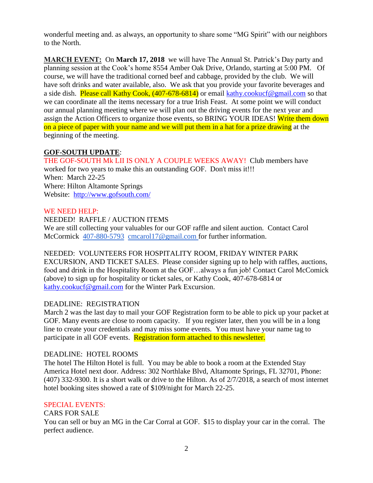wonderful meeting and. as always, an opportunity to share some "MG Spirit" with our neighbors to the North.

**MARCH EVENT:** On **March 17, 2018** we will have The Annual St. Patrick's Day party and planning session at the Cook's home 8554 Amber Oak Drive, Orlando, starting at 5:00 PM. Of course, we will have the traditional corned beef and cabbage, provided by the club. We will have soft drinks and water available, also. We ask that you provide your favorite beverages and a side dish. Please call Kathy Cook,  $(407-678-6814)$  or email [kathy.cookucf@gmail.com](mailto:kathy.cookucf@gmail.com) so that we can coordinate all the items necessary for a true Irish Feast. At some point we will conduct our annual planning meeting where we will plan out the driving events for the next year and assign the Action Officers to organize those events, so BRING YOUR IDEAS! Write them down on a piece of paper with your name and we will put them in a hat for a prize drawing at the beginning of the meeting.

#### **GOF-SOUTH UPDATE**:

THE GOF-SOUTH Mk LII IS ONLY A COUPLE WEEKS AWAY! Club members have worked for two years to make this an outstanding GOF. Don't miss it!!! When: March 22-25 Where: Hilton Altamonte Springs Website: <http://www.gofsouth.com/>

#### WE NEED HELP:

NEEDED! RAFFLE / AUCTION ITEMS We are still collecting your valuables for our GOF raffle and silent auction. Contact Carol McCormick [407-880-5793](tel:(407)%20880-5793) [cmcarol17@gmail.com](mailto:cmcarol17@gmail.com) for further information.

#### NEEDED: VOLUNTEERS FOR HOSPITALITY ROOM, FRIDAY WINTER PARK

EXCURSION, AND TICKET SALES. Please consider signing up to help with raffles, auctions, food and drink in the Hospitality Room at the GOF…always a fun job! Contact Carol McComick (above) to sign up for hospitality or ticket sales, or Kathy Cook, 407-678-6814 or [kathy.cookucf@gmail.com](mailto:kathy.cookucf@gmail.com) for the Winter Park Excursion.

#### DEADLINE: REGISTRATION

March 2 was the last day to mail your GOF Registration form to be able to pick up your packet at GOF. Many events are close to room capacity. If you register later, then you will be in a long line to create your credentials and may miss some events. You must have your name tag to participate in all GOF events. Registration form attached to this newsletter.

#### DEADLINE: HOTEL ROOMS

The hotel The Hilton Hotel is full. You may be able to book a room at the Extended Stay America Hotel next door. Address: 302 Northlake Blvd, Altamonte Springs, FL 32701, Phone: (407) 332-9300. It is a short walk or drive to the Hilton. As of 2/7/2018, a search of most internet hotel booking sites showed a rate of \$109/night for March 22-25.

#### SPECIAL EVENTS:

CARS FOR SALE You can sell or buy an MG in the Car Corral at GOF. \$15 to display your car in the corral. The perfect audience.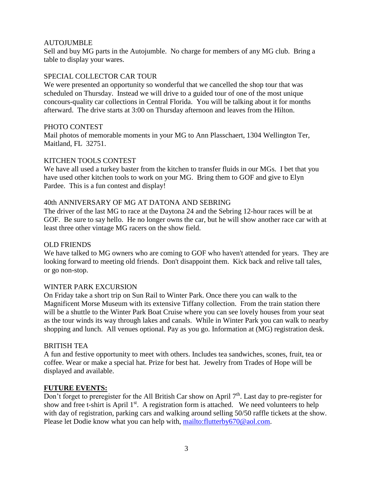#### AUTOJUMBLE

Sell and buy MG parts in the Autojumble. No charge for members of any MG club. Bring a table to display your wares.

#### SPECIAL COLLECTOR CAR TOUR

We were presented an opportunity so wonderful that we cancelled the shop tour that was scheduled on Thursday. Instead we will drive to a guided tour of one of the most unique concours-quality car collections in Central Florida. You will be talking about it for months afterward. The drive starts at 3:00 on Thursday afternoon and leaves from the Hilton.

#### PHOTO CONTEST

Mail photos of memorable moments in your MG to Ann Plasschaert, 1304 Wellington Ter, Maitland, FL 32751.

#### KITCHEN TOOLS CONTEST

We have all used a turkey baster from the kitchen to transfer fluids in our MGs. I bet that you have used other kitchen tools to work on your MG. Bring them to GOF and give to Elyn Pardee. This is a fun contest and display!

#### 40th ANNIVERSARY OF MG AT DATONA AND SEBRING

The driver of the last MG to race at the Daytona 24 and the Sebring 12-hour races will be at GOF. Be sure to say hello. He no longer owns the car, but he will show another race car with at least three other vintage MG racers on the show field.

#### OLD FRIENDS

We have talked to MG owners who are coming to GOF who haven't attended for years. They are looking forward to meeting old friends. Don't disappoint them. Kick back and relive tall tales, or go non-stop.

#### WINTER PARK EXCURSION

On Friday take a short trip on Sun Rail to Winter Park. Once there you can walk to the Magnificent Morse Museum with its extensive Tiffany collection. From the train station there will be a shuttle to the Winter Park Boat Cruise where you can see lovely houses from your seat as the tour winds its way through lakes and canals. While in Winter Park you can walk to nearby shopping and lunch. All venues optional. Pay as you go. Information at (MG) registration desk.

#### BRITISH TEA

A fun and festive opportunity to meet with others. Includes tea sandwiches, scones, fruit, tea or coffee. Wear or make a special hat. Prize for best hat. Jewelry from Trades of Hope will be displayed and available.

#### **FUTURE EVENTS:**

Don't forget to preregister for the All British Car show on April 7<sup>th</sup>. Last day to pre-register for show and free t-shirt is April 1<sup>st</sup>. A registration form is attached. We need volunteers to help with day of registration, parking cars and walking around selling 50/50 raffle tickets at the show. Please let Dodie know what you can help with, [mailto:flutterby670@aol.com.](mailto:flutterby670@aol.com)